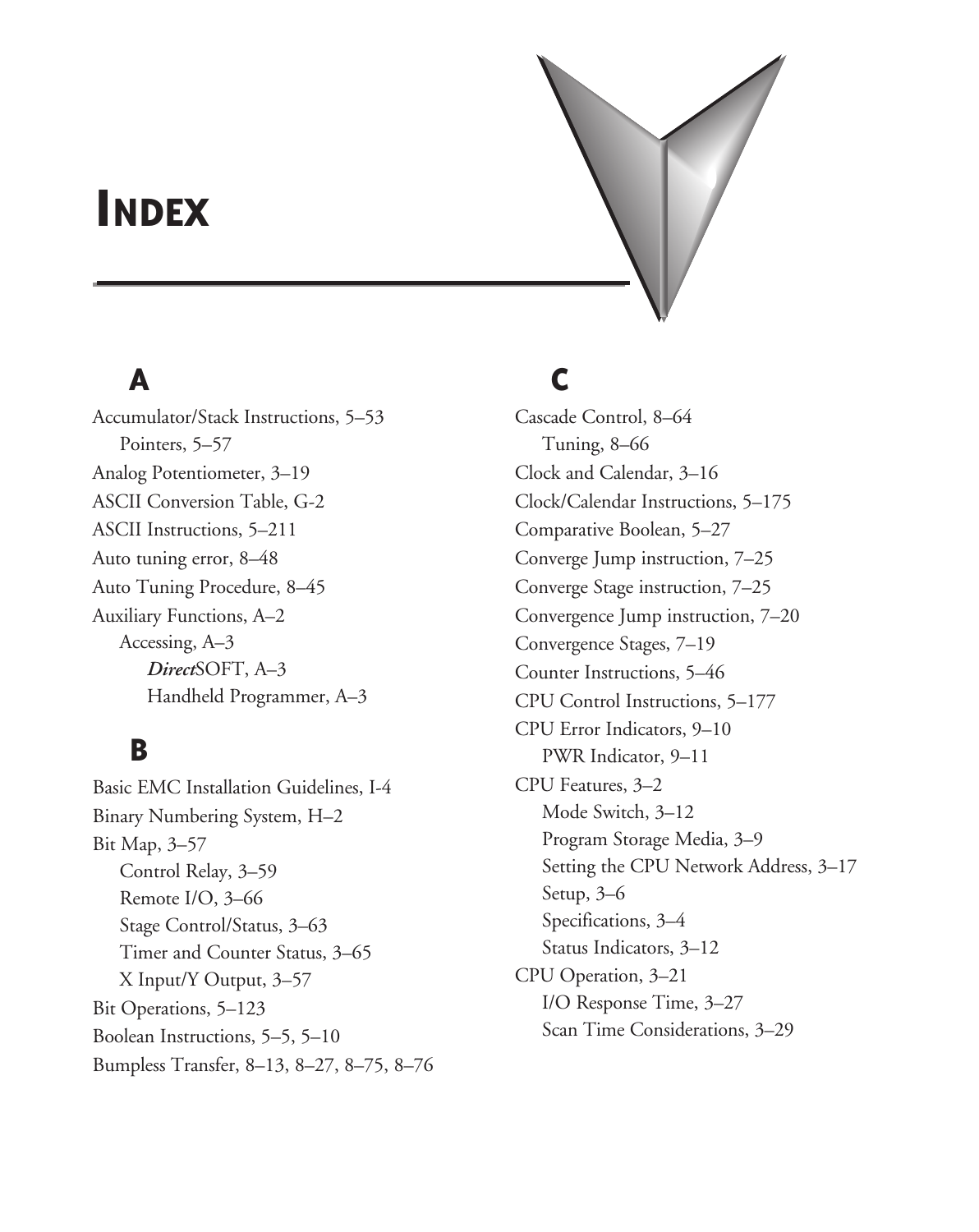# **Index**

# **A**

Accumulator/Stack Instructions, 5–53 Pointers, 5–57 Analog Potentiometer, 3–19 ASCII Conversion Table, G-2 ASCII Instructions, 5–211 Auto tuning error, 8–48 Auto Tuning Procedure, 8–45 Auxiliary Functions, A–2 Accessing, A–3 *Direct*SOFT, A–3 Handheld Programmer, A–3

### **B**

Basic EMC Installation Guidelines, I-4 Binary Numbering System, H–2 Bit Map, 3–57 Control Relay, 3–59 Remote I/O, 3–66 Stage Control/Status, 3–63 Timer and Counter Status, 3–65 X Input/Y Output, 3–57 Bit Operations, 5–123 Boolean Instructions, 5–5, 5–10 Bumpless Transfer, 8–13, 8–27, 8–75, 8–76

### **C**

Cascade Control, 8–64 Tuning, 8–66 Clock and Calendar, 3–16 Clock/Calendar Instructions, 5–175 Comparative Boolean, 5–27 Converge Jump instruction, 7–25 Converge Stage instruction, 7–25 Convergence Jump instruction, 7–20 Convergence Stages, 7–19 Counter Instructions, 5–46 CPU Control Instructions, 5–177 CPU Error Indicators, 9–10 PWR Indicator, 9–11 CPU Features, 3–2 Mode Switch, 3–12 Program Storage Media, 3–9 Setting the CPU Network Address, 3–17 Setup, 3–6 Specifications, 3–4 Status Indicators, 3–12 CPU Operation, 3–21 I/O Response Time, 3–27 Scan Time Considerations, 3–29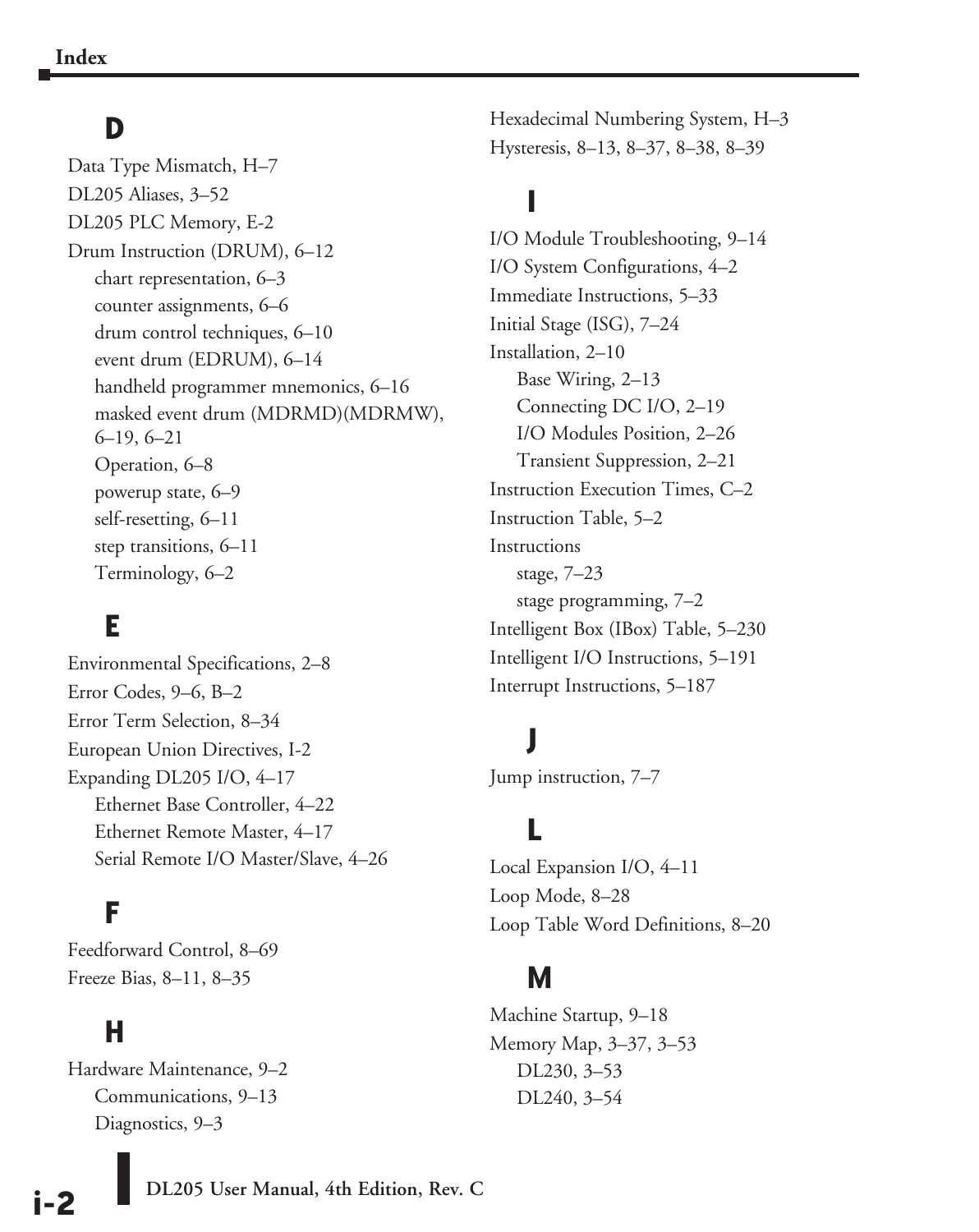### **D**

Data Type Mismatch, H–7 DL205 Aliases, 3–52 DL205 PLC Memory, E-2 Drum Instruction (DRUM), 6–12 chart representation, 6–3 counter assignments, 6–6 drum control techniques, 6–10 event drum (EDRUM), 6–14 handheld programmer mnemonics, 6–16 masked event drum (MDRMD)(MDRMW), 6–19, 6–21 Operation, 6–8 powerup state, 6–9 self-resetting, 6–11 step transitions, 6–11 Terminology, 6–2

### **E**

Environmental Specifications, 2–8 Error Codes, 9–6, B–2 Error Term Selection, 8–34 European Union Directives, I-2 Expanding DL205 I/O, 4–17 Ethernet Base Controller, 4–22 Ethernet Remote Master, 4–17 Serial Remote I/O Master/Slave, 4–26

### **F**

Feedforward Control, 8–69 Freeze Bias, 8–11, 8–35

#### **H**

Hardware Maintenance, 9–2 Communications, 9–13 Diagnostics, 9–3

Hexadecimal Numbering System, H–3 Hysteresis, 8–13, 8–37, 8–38, 8–39

# **I**

I/O Module Troubleshooting, 9–14 I/O System Configurations, 4–2 Immediate Instructions, 5–33 Initial Stage (ISG), 7–24 Installation, 2–10 Base Wiring, 2–13 Connecting DC I/O, 2–19 I/O Modules Position, 2–26 Transient Suppression, 2–21 Instruction Execution Times, C–2 Instruction Table, 5–2 Instructions stage, 7–23 stage programming, 7–2 Intelligent Box (IBox) Table, 5–230 Intelligent I/O Instructions, 5–191 Interrupt Instructions, 5–187

# **J**

Jump instruction, 7–7

# **L**

Local Expansion I/O, 4–11 Loop Mode, 8–28 Loop Table Word Definitions, 8–20

#### **M**

Machine Startup, 9–18 Memory Map, 3–37, 3–53 DL230, 3–53 DL240, 3–54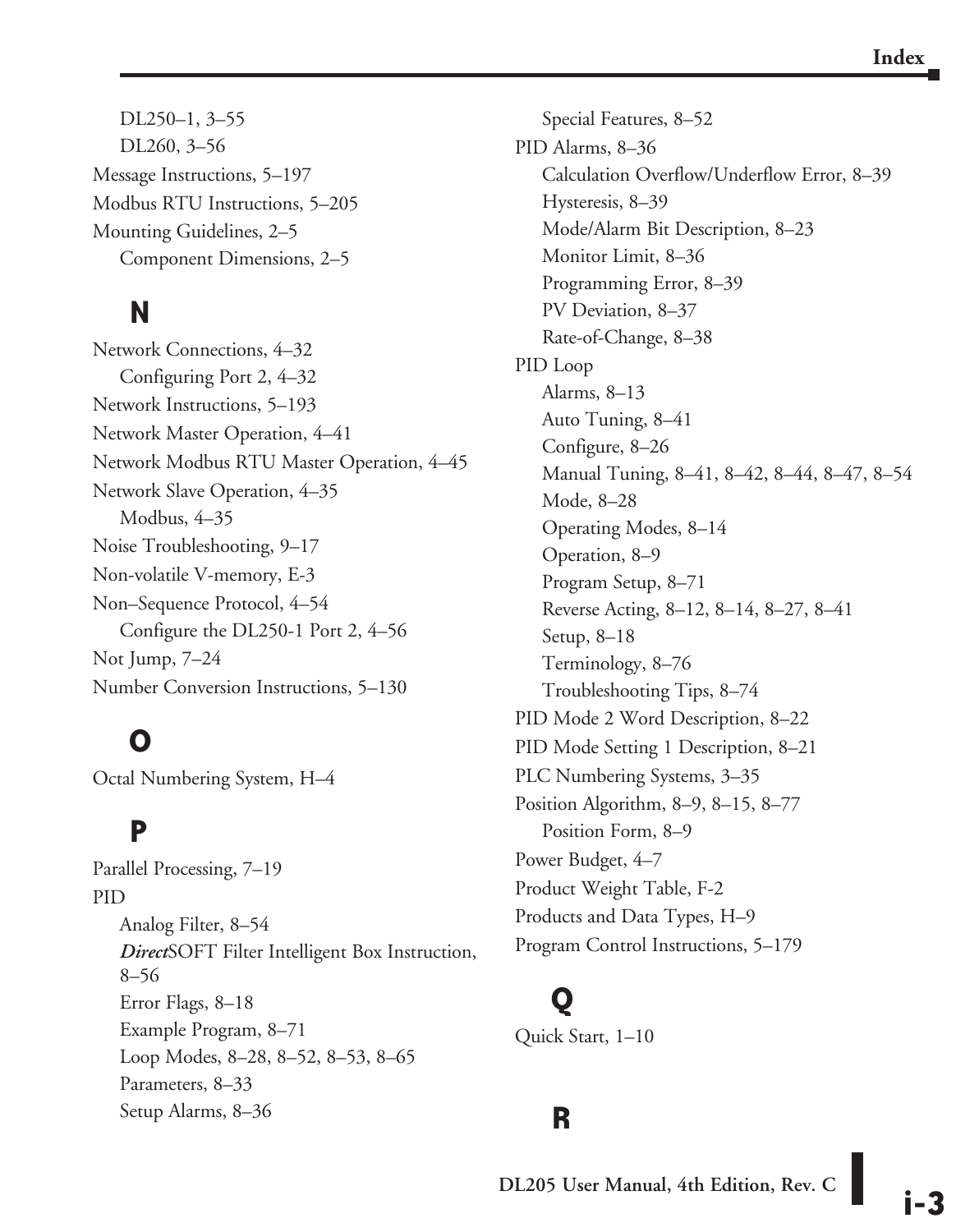DL250–1, 3–55 DL260, 3–56 Message Instructions, 5–197 Modbus RTU Instructions, 5–205 Mounting Guidelines, 2–5 Component Dimensions, 2–5

# **N**

Network Connections, 4–32 Configuring Port 2, 4–32 Network Instructions, 5–193 Network Master Operation, 4–41 Network Modbus RTU Master Operation, 4–45 Network Slave Operation, 4–35 Modbus, 4–35 Noise Troubleshooting, 9–17 Non-volatile V-memory, E-3 Non–Sequence Protocol, 4–54 Configure the DL250-1 Port 2, 4–56 Not Jump, 7–24 Number Conversion Instructions, 5–130

## **O**

Octal Numbering System, H–4

### **P**

Parallel Processing, 7–19 PID Analog Filter, 8–54 *Direct*SOFT Filter Intelligent Box Instruction, 8–56 Error Flags, 8–18 Example Program, 8–71 Loop Modes, 8–28, 8–52, 8–53, 8–65 Parameters, 8–33 Setup Alarms, 8–36

Special Features, 8–52 PID Alarms, 8–36 Calculation Overflow/Underflow Error, 8–39 Hysteresis, 8–39 Mode/Alarm Bit Description, 8–23 Monitor Limit, 8–36 Programming Error, 8–39 PV Deviation, 8–37 Rate-of-Change, 8–38 PID Loop Alarms, 8–13 Auto Tuning, 8–41 Configure, 8–26 Manual Tuning, 8–41, 8–42, 8–44, 8–47, 8–54 Mode, 8–28 Operating Modes, 8–14 Operation, 8–9 Program Setup, 8–71 Reverse Acting, 8–12, 8–14, 8–27, 8–41 Setup, 8–18 Terminology, 8–76 Troubleshooting Tips, 8–74 PID Mode 2 Word Description, 8–22 PID Mode Setting 1 Description, 8–21 PLC Numbering Systems, 3–35 Position Algorithm, 8–9, 8–15, 8–77 Position Form, 8–9 Power Budget, 4–7 Product Weight Table, F-2 Products and Data Types, H–9 Program Control Instructions, 5–179

# **Q**

Quick Start, 1–10

#### **R**